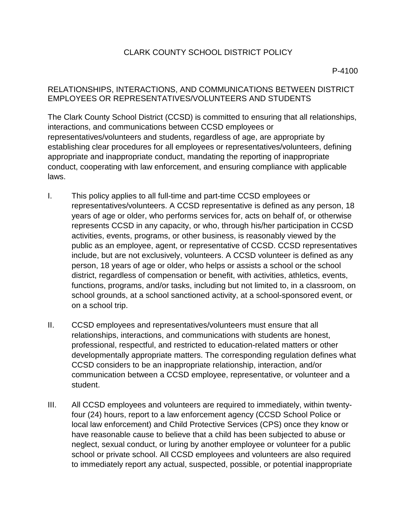## CLARK COUNTY SCHOOL DISTRICT POLICY

## RELATIONSHIPS, INTERACTIONS, AND COMMUNICATIONS BETWEEN DISTRICT EMPLOYEES OR REPRESENTATIVES/VOLUNTEERS AND STUDENTS

The Clark County School District (CCSD) is committed to ensuring that all relationships, interactions, and communications between CCSD employees or representatives/volunteers and students, regardless of age, are appropriate by establishing clear procedures for all employees or representatives/volunteers, defining appropriate and inappropriate conduct, mandating the reporting of inappropriate conduct, cooperating with law enforcement, and ensuring compliance with applicable laws.

- I. This policy applies to all full-time and part-time CCSD employees or representatives/volunteers. A CCSD representative is defined as any person, 18 years of age or older, who performs services for, acts on behalf of, or otherwise represents CCSD in any capacity, or who, through his/her participation in CCSD activities, events, programs, or other business, is reasonably viewed by the public as an employee, agent, or representative of CCSD. CCSD representatives include, but are not exclusively, volunteers. A CCSD volunteer is defined as any person, 18 years of age or older, who helps or assists a school or the school district, regardless of compensation or benefit, with activities, athletics, events, functions, programs, and/or tasks, including but not limited to, in a classroom, on school grounds, at a school sanctioned activity, at a school-sponsored event, or on a school trip.
- II. CCSD employees and representatives/volunteers must ensure that all relationships, interactions, and communications with students are honest, professional, respectful, and restricted to education-related matters or other developmentally appropriate matters. The corresponding regulation defines what CCSD considers to be an inappropriate relationship, interaction, and/or communication between a CCSD employee, representative, or volunteer and a student.
- III. All CCSD employees and volunteers are required to immediately, within twentyfour (24) hours, report to a law enforcement agency (CCSD School Police or local law enforcement) and Child Protective Services (CPS) once they know or have reasonable cause to believe that a child has been subjected to abuse or neglect, sexual conduct, or luring by another employee or volunteer for a public school or private school. All CCSD employees and volunteers are also required to immediately report any actual, suspected, possible, or potential inappropriate